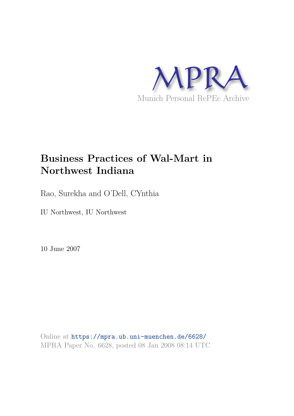

# **Business Practices of Wal-Mart in Northwest Indiana**

Rao, Surekha and O'Dell, CYnthia

IU Northwest, IU Northwest

10 June 2007

Online at https://mpra.ub.uni-muenchen.de/6628/ MPRA Paper No. 6628, posted 08 Jan 2008 08:14 UTC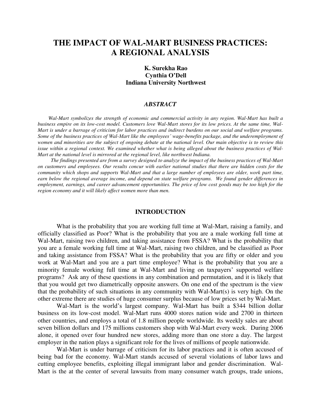## **THE IMPACT OF WAL-MART BUSINESS PRACTICES: A REGIONAL ANALYSIS**

## **K. Surekha Rao Cynthia O'Dell Indiana University Northwest**

## *ABSTRACT*

 *Wal-Mart symbolizes the strength of economic and commercial activity in any region. Wal-Mart has built a business empire on its low-cost model. Customers love Wal-Mart stores for its low prices. At the same time, Wal-Mart is under a barrage of criticism for labor practices and indirect burdens on our social and welfare programs. Some of the business practices of Wal-Mart like the employees' wage-benefits package, and the underemployment of women and minorities are the subject of ongoing debate at the national level. Our main objective is to review this issue within a regional context. We examined whether what is being alleged about the business practices of Wal-Mart at the national level is mirrored at the regional level, like northwest Indiana.* 

 *The findings presented are from a survey designed to analyze the impact of the business practices of Wal-Mart on customers and employees. Our results concur with earlier national studies that there are hidden costs for the community which shops and supports Wal-Mart and that a large number of employees are older, work part time, earn below the regional average income, and depend on state welfare programs. We found gender differences in employment, earnings, and career advancement opportunities. The price of low cost goods may be too high for the region economy and it will likely affect women more than men.* 

## **INTRODUCTION**

 What is the probability that you are working full time at Wal-Mart, raising a family, and officially classified as Poor? What is the probability that you are a male working full time at Wal-Mart, raising two children, and taking assistance from FSSA? What is the probability that you are a female working full time at Wal-Mart, raising two children, and be classified as Poor and taking assistance from FSSA? What is the probability that you are fifty or older and you work at Wal-Mart and you are a part time employee? What is the probability that you are a minority female working full time at Wal-Mart and living on taxpayers' supported welfare programs? Ask any of these questions in any combination and permutation, and it is likely that that you would get two diametrically opposite answers. On one end of the spectrum is the view that the probability of such situations in any community with Wal-Mart(s) is very high. On the other extreme there are studies of huge consumer surplus because of low prices set by Wal-Mart.

 Wal-Mart is the world's largest company. Wal-Mart has built a \$344 billion dollar business on its low-cost model. Wal-Mart runs 4000 stores nation wide and 2700 in thirteen other countries, and employs a total of 1.8 million people worldwide. Its weekly sales are about seven billion dollars and 175 millions customers shop with Wal-Mart every week. During 2006 alone, it opened over four hundred new stores, adding more than one store a day. The largest employer in the nation plays a significant role for the lives of millions of people nationwide.

 Wal-Mart is under barrage of criticism for its labor practices and it is often accused of being bad for the economy. Wal-Mart stands accused of several violations of labor laws and cutting employee benefits, exploiting illegal immigrant labor and gender discrimination. Wal-Mart is the at the center of several lawsuits from many consumer watch groups, trade unions,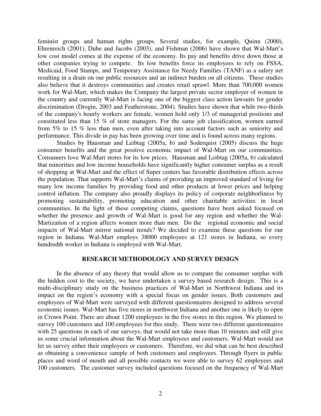feminist groups and human rights groups. Several studies, for example, Quinn (2000), Ehrenreich (2001), Dube and Jacobs (2003), and Fishman (2006) have shown that Wal-Mart's low cost model comes at the expense of the economy. Its pay and benefits drive down those at other companies trying to compete. Its low benefits force its employees to rely on FSSA, Medicaid, Food Stamps, and Temporary Assistance for Needy Families (TANF) as a safety net resulting in a drain on our public resources and an indirect burden on all citizens. These studies also believe that it destroys communities and creates retail sprawl. More than 700,000 women work for Wal-Mart, which makes the Company the largest private sector employer of women in the country and currently Wal-Mart is facing one of the biggest class action lawsuits for gender discrimination (Drogin, 2003 and Featherstone, 2004). Studies have shown that while two-thirds of the company's hourly workers are female, women hold only 1/3 of managerial positions and constituted less than 15 % of store managers. For the same job classification, women earned from 5% to 15 % less than men, even after taking into account factors such as seniority and performance. This divide in pay has been growing over time and is found across many regions.

Studies by Hausman and Leibtag (2005a, b) and Soderquist (2005) discuss the huge consumer benefits and the great positive economic impact of Wal-Mart on our communities. Consumers love Wal-Mart stores for its low prices. Hausman and Leibtag (2005a, b) calculated that minorities and low income households have significantly higher consumer surplus as a result of shopping at Wal-Mart and the effect of Super centers has favorable distribution effects across the population. That supports Wal-Mart's claims of providing an improved standard of living for many low income families by providing food and other products at lower prices and helping control inflation. The company also proudly displays its policy of corporate neighborliness by promoting sustainability, promoting education and other charitable activities in local communities. In the light of these competing claims, questions have been asked focused on whether the presence and growth of Wal-Mart is good for any region and whether the Wal-Martization of a region affects women more than men. Do the regional economic and social impacts of Wal-Mart mirror national trends? We decided to examine these questions for our region in Indiana. Wal-Mart employs 38000 employees at 121 stores in Indiana, so every hundredth worker in Indiana is employed with Wal-Mart.

## **RESEARCH METHODOLOGY AND SURVEY DESIGN**

 In the absence of any theory that would allow us to compare the consumer surplus with the hidden cost to the society, we have undertaken a survey based research design. This is a multi-disciplinary study on the business practices of Wal-Mart in Northwest Indiana and its impact on the region's economy with a special focus on gender issues. Both customers and employees of Wal-Mart were surveyed with different questionnaires designed to address several economic issues. Wal-Mart has five stores in northwest Indiana and another one is likely to open in Crown Point. There are about 1200 employees in the five stores in this region. We planned to survey 100 customers and 100 employees for this study. There were two different questionnaires with 25 questions in each of our surveys, that would not take more than 10 minutes and still give us some crucial information about the Wal-Mart employees and customers. Wal-Mart would not let us survey either their employees or customers. Therefore, we did what can be best described as obtaining a convenience sample of both customers and employees. Through flyers in public places and word of mouth and all possible contacts we were able to survey 62 employees and 100 customers. The customer survey included questions focused on the frequency of Wal-Mart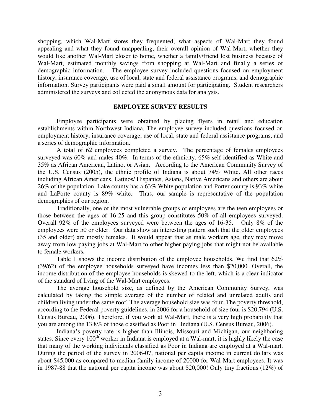shopping, which Wal-Mart stores they frequented, what aspects of Wal-Mart they found appealing and what they found unappealing, their overall opinion of Wal-Mart, whether they would like another Wal-Mart closer to home, whether a family/friend lost business because of Wal-Mart, estimated monthly savings from shopping at Wal-Mart and finally a series of demographic information. The employee survey included questions focused on employment history, insurance coverage, use of local, state and federal assistance programs, and demographic information. Survey participants were paid a small amount for participating. Student researchers administered the surveys and collected the anonymous data for analysis.

## **EMPLOYEE SURVEY RESULTS**

 Employee participants were obtained by placing flyers in retail and education establishments within Northwest Indiana. The employee survey included questions focused on employment history, insurance coverage, use of local, state and federal assistance programs, and a series of demographic information.

 A total of 62 employees completed a survey. The percentage of females employees surveyed was 60% and males 40%. In terms of the ethnicity, 65% self-identified as White and 35% as African American, Latino, or Asian**.** According to the American Community Survey of the U.S. Census (2005), the ethnic profile of Indiana is about 74% White. All other races including African Americans, Latinos/ Hispanics, Asians, Native Americans and others are about 26% of the population. Lake county has a 63% White population and Porter county is 93% white and LaPorte county is 89% white. Thus, our sample is representative of the population demographics of our region.

 Traditionally, one of the most vulnerable groups of employees are the teen employees or those between the ages of 16-25 and this group constitutes 50% of all employees surveyed. Overall 92% of the employees surveyed were between the ages of 16-35. Only 8% of the employees were 50 or older. Our data show an interesting pattern such that the older employees (35 and older) are mostly females. It would appear that as male workers age, they may move away from low paying jobs at Wal-Mart to other higher paying jobs that might not be available to female workers**.** 

 Table 1 shows the income distribution of the employee households. We find that 62% (39/62) of the employee households surveyed have incomes less than \$20,000. Overall, the income distribution of the employee households is skewed to the left, which is a clear indicator of the standard of living of the Wal-Mart employees.

The average household size, as defined by the American Community Survey, was calculated by taking the simple average of the number of related and unrelated adults and children living under the same roof. The average household size was four. The poverty threshold, according to the Federal poverty guidelines, in 2006 for a household of size four is \$20,794 (U.S. Census Bureau, 2006). Therefore, if you work at Wal-Mart, there is a very high probability that you are among the 13.8% of those classified as Poor in Indiana (U.S. Census Bureau, 2006).

Indiana's poverty rate is higher than Illinois, Missouri and Michigan, our neighboring states. Since every 100<sup>th</sup> worker in Indiana is employed at a Wal-mart, it is highly likely the case that many of the working individuals classified as Poor in Indiana are employed at a Wal-mart. During the period of the survey in 2006-07, national per capita income in current dollars was about \$45,000 as compared to median family income of 20000 for Wal-Mart employees. It was in 1987-88 that the national per capita income was about \$20,000! Only tiny fractions (12%) of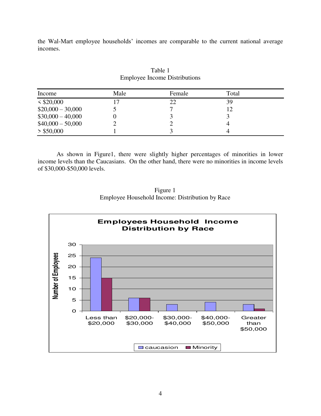the Wal-Mart employee households' incomes are comparable to the current national average incomes.

| Income             | Male | Female | Total |  |
|--------------------|------|--------|-------|--|
| $<$ \$20,000       |      | 22     | 39    |  |
| $$20,000 - 30,000$ |      |        | 12    |  |
| $$30,000 - 40,000$ |      |        |       |  |
| $$40,000 - 50,000$ |      |        |       |  |
| $>$ \$50,000       |      |        |       |  |

## Table 1 Employee Income Distributions

 As shown in Figure1, there were slightly higher percentages of minorities in lower income levels than the Caucasians. On the other hand, there were no minorities in income levels of \$30,000-\$50,000 levels.



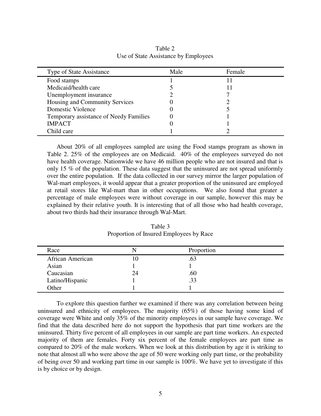| Male | Female |  |
|------|--------|--|
|      |        |  |
|      |        |  |
|      |        |  |
|      |        |  |
|      |        |  |
|      |        |  |
|      |        |  |
|      |        |  |
|      |        |  |

Table 2 Use of State Assistance by Employees

 About 20% of all employees sampled are using the Food stamps program as shown in Table 2. 25% of the employees are on Medicaid. 40% of the employees surveyed do not have health coverage. Nationwide we have 46 million people who are not insured and that is only 15 % of the population. These data suggest that the uninsured are not spread uniformly over the entire population. If the data collected in our survey mirror the larger population of Wal-mart employees, it would appear that a greater proportion of the uninsured are employed at retail stores like Wal-mart than in other occupations. We also found that greater a percentage of male employees were without coverage in our sample, however this may be explained by their relative youth. It is interesting that of all those who had health coverage, about two thirds had their insurance through Wal-Mart.

| Race                    |    | Proportion |  |
|-------------------------|----|------------|--|
| <b>African American</b> | .U |            |  |
| Asian                   |    |            |  |
| Caucasian               | 24 | .60        |  |
| Latino/Hispanic         |    | .33        |  |
| Other                   |    |            |  |

Table 3 Proportion of Insured Employees by Race

 To explore this question further we examined if there was any correlation between being uninsured and ethnicity of employees. The majority (65%) of those having some kind of coverage were White and only 35% of the minority employees in our sample have coverage. We find that the data described here do not support the hypothesis that part time workers are the uninsured. Thirty five percent of all employees in our sample are part time workers. An expected majority of them are females. Forty six percent of the female employees are part time as compared to 20% of the male workers. When we look at this distribution by age it is striking to note that almost all who were above the age of 50 were working only part time, or the probability of being over 50 and working part time in our sample is 100%. We have yet to investigate if this is by choice or by design.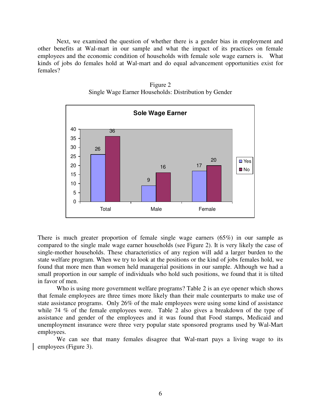Next, we examined the question of whether there is a gender bias in employment and other benefits at Wal-mart in our sample and what the impact of its practices on female employees and the economic condition of households with female sole wage earners is. What kinds of jobs do females hold at Wal-mart and do equal advancement opportunities exist for females?



Figure 2 Single Wage Earner Households: Distribution by Gender

There is much greater proportion of female single wage earners (65%) in our sample as compared to the single male wage earner households (see Figure 2). It is very likely the case of single-mother households. These characteristics of any region will add a larger burden to the state welfare program. When we try to look at the positions or the kind of jobs females hold, we found that more men than women held managerial positions in our sample. Although we had a small proportion in our sample of individuals who hold such positions, we found that it is tilted in favor of men.

 Who is using more government welfare programs? Table 2 is an eye opener which shows that female employees are three times more likely than their male counterparts to make use of state assistance programs. Only 26% of the male employees were using some kind of assistance while 74 % of the female employees were. Table 2 also gives a breakdown of the type of assistance and gender of the employees and it was found that Food stamps, Medicaid and unemployment insurance were three very popular state sponsored programs used by Wal-Mart employees.

 We can see that many females disagree that Wal-mart pays a living wage to its employees (Figure 3).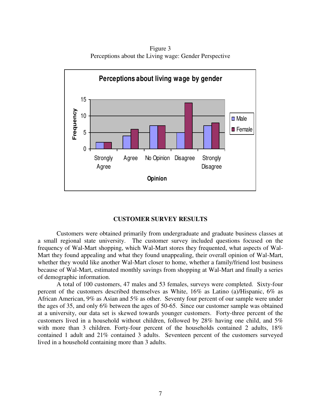Figure 3 Perceptions about the Living wage: Gender Perspective



## **CUSTOMER SURVEY RESULTS**

 Customers were obtained primarily from undergraduate and graduate business classes at a small regional state university. The customer survey included questions focused on the frequency of Wal-Mart shopping, which Wal-Mart stores they frequented, what aspects of Wal-Mart they found appealing and what they found unappealing, their overall opinion of Wal-Mart, whether they would like another Wal-Mart closer to home, whether a family/friend lost business because of Wal-Mart, estimated monthly savings from shopping at Wal-Mart and finally a series of demographic information.

 A total of 100 customers, 47 males and 53 females, surveys were completed. Sixty-four percent of the customers described themselves as White, 16% as Latino (a)/Hispanic, 6% as African American, 9% as Asian and 5% as other. Seventy four percent of our sample were under the ages of 35, and only 6% between the ages of 50-65. Since our customer sample was obtained at a university, our data set is skewed towards younger customers. Forty-three percent of the customers lived in a household without children, followed by 28% having one child, and 5% with more than 3 children. Forty-four percent of the households contained 2 adults, 18% contained 1 adult and 21% contained 3 adults. Seventeen percent of the customers surveyed lived in a household containing more than 3 adults.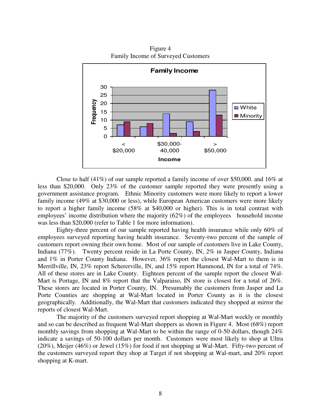

Figure 4 Family Income of Surveyed Customers

 Close to half (41%) of our sample reported a family income of over \$50,000. and 16% at less than \$20,000. Only 23% of the customer sample reported they were presently using a government assistance program. Ethnic Minority customers were more likely to report a lower family income (49% at \$30,000 or less), while European American customers were more likely to report a higher family income (58% at \$40,000 or higher). This is in total contrast with employees' income distribution where the majority (62%) of the employees household income was less than \$20,000 (refer to Table 1 for more information).

 Eighty-three percent of our sample reported having health insurance while only 60% of employees surveyed reporting having health insurance. Seventy-two percent of the sample of customers report owning their own home. Most of our sample of customers live in Lake County, Indiana (77%). Twenty percent reside in La Porte County, IN, 2% in Jasper County, Indiana and 1% in Porter County Indiana. However, 36% report the closest Wal-Mart to them is in Merrillville, IN, 23% report Schererville, IN, and 15% report Hammond, IN for a total of 74%. All of these stores are in Lake County. Eighteen percent of the sample report the closest Wal-Mart is Portage, IN and 8% report that the Valparaiso, IN store is closest for a total of 26%. These stores are located in Porter County, IN. Presumably the customers from Jasper and La Porte Counties are shopping at Wal-Mart located in Porter County as it is the closest geographically. Additionally, the Wal-Mart that customers indicated they shopped at mirror the reports of closest Wal-Mart.

 The majority of the customers surveyed report shopping at Wal-Mart weekly or monthly and so can be described as frequent Wal-Mart shoppers as shown in Figure 4. Most (68%) report monthly savings from shopping at Wal-Mart to be within the range of 0-50 dollars, though 24% indicate a savings of 50-100 dollars per month. Customers were most likely to shop at Ultra (20%), Meijer (46%) or Jewel (15%) for food if not shopping at Wal-Mart. Fifty-two percent of the customers surveyed report they shop at Target if not shopping at Wal-mart, and 20% report shopping at K-mart.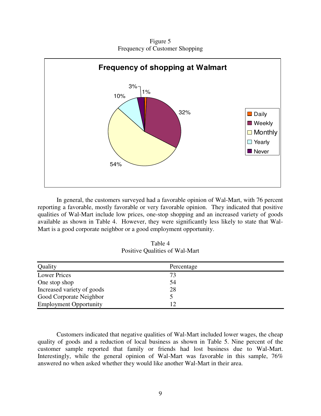Figure 5 Frequency of Customer Shopping



In general, the customers surveyed had a favorable opinion of Wal-Mart, with 76 percent reporting a favorable, mostly favorable or very favorable opinion. They indicated that positive qualities of Wal-Mart include low prices, one-stop shopping and an increased variety of goods available as shown in Table 4. However, they were significantly less likely to state that Wal-Mart is a good corporate neighbor or a good employment opportunity.

Table 4 Positive Qualities of Wal-Mart

| Quality                       | Percentage |  |
|-------------------------------|------------|--|
| <b>Lower Prices</b>           | 73         |  |
| One stop shop                 | 54         |  |
| Increased variety of goods    | 28         |  |
| Good Corporate Neighbor       |            |  |
| <b>Employment Opportunity</b> | 12         |  |

 Customers indicated that negative qualities of Wal-Mart included lower wages, the cheap quality of goods and a reduction of local business as shown in Table 5. Nine percent of the customer sample reported that family or friends had lost business due to Wal-Mart. Interestingly, while the general opinion of Wal-Mart was favorable in this sample, 76% answered no when asked whether they would like another Wal-Mart in their area.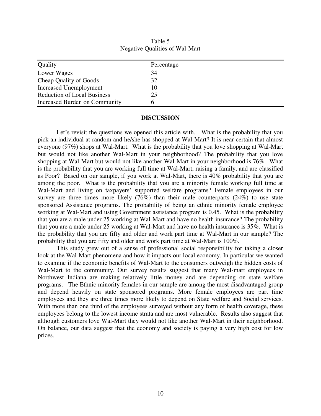| Quality                            | Percentage |  |
|------------------------------------|------------|--|
| Lower Wages                        | 34         |  |
| Cheap Quality of Goods             | 32         |  |
| Increased Unemployment             | 10         |  |
| <b>Reduction of Local Business</b> | 25         |  |
| Increased Burden on Community      |            |  |

Table 5 Negative Qualities of Wal-Mart

## **DISCUSSION**

Let's revisit the questions we opened this article with. What is the probability that you pick an individual at random and he/she has shopped at Wal-Mart? It is near certain that almost everyone (97%) shops at Wal-Mart. What is the probability that you love shopping at Wal-Mart but would not like another Wal-Mart in your neighborhood? The probability that you love shopping at Wal-Mart but would not like another Wal-Mart in your neighborhood is 76%. What is the probability that you are working full time at Wal-Mart, raising a family, and are classified as Poor? Based on our sample, if you work at Wal-Mart, there is 40% probability that you are among the poor. What is the probability that you are a minority female working full time at Wal-Mart and living on taxpayers' supported welfare programs? Female employees in our survey are three times more likely  $(76%)$  than their male counterparts  $(24%)$  to use state sponsored Assistance programs. The probability of being an ethnic minority female employee working at Wal-Mart and using Government assistance program is 0.45. What is the probability that you are a male under 25 working at Wal-Mart and have no health insurance? The probability that you are a male under 25 working at Wal-Mart and have no health insurance is 35%. What is the probability that you are fifty and older and work part time at Wal-Mart in our sample? The probability that you are fifty and older and work part time at Wal-Mart is 100%.

This study grew out of a sense of professional social responsibility for taking a closer look at the Wal-Mart phenomena and how it impacts our local economy. In particular we wanted to examine if the economic benefits of Wal-Mart to the consumers outweigh the hidden costs of Wal-Mart to the community. Our survey results suggest that many Wal-mart employees in Northwest Indiana are making relatively little money and are depending on state welfare programs. The Ethnic minority females in our sample are among the most disadvantaged group and depend heavily on state sponsored programs. More female employees are part time employees and they are three times more likely to depend on State welfare and Social services. With more than one third of the employees surveyed without any form of health coverage, these employees belong to the lowest income strata and are most vulnerable. Results also suggest that although customers love Wal-Mart they would not like another Wal-Mart in their neighborhood. On balance, our data suggest that the economy and society is paying a very high cost for low prices.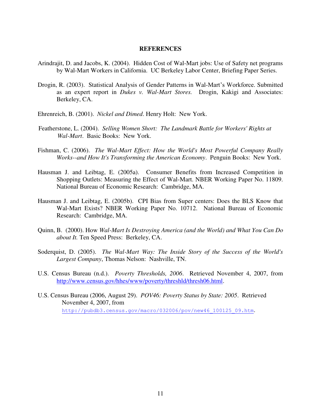## **REFERENCES**

- Arindrajit, D. and Jacobs, K. (2004). Hidden Cost of Wal-Mart jobs: Use of Safety net programs by Wal-Mart Workers in California. UC Berkeley Labor Center, Briefing Paper Series.
- Drogin, R. (2003). Statistical Analysis of Gender Patterns in Wal-Mart's Workforce. Submitted as an expert report in *Dukes v. Wal-Mart Stores.* Drogin, Kakigi and Associates: Berkeley, CA.
- Ehrenreich, B. (2001). *Nickel and Dimed*. Henry Holt: New York.
- Featherstone, L. (2004). *Selling Women Short: The Landmark Battle for Workers' Rights at Wal-Mart*. Basic Books: New York.
- Fishman, C. (2006). *The Wal-Mart Effect: How the World's Most Powerful Company Really Works--and How It's Transforming the American Economy*. Penguin Books: New York.
- Hausman J. and Leibtag, E. (2005a). Consumer Benefits from Increased Competition in Shopping Outlets: Measuring the Effect of Wal-Mart. NBER Working Paper No. 11809. National Bureau of Economic Research: Cambridge, MA.
- Hausman J. and Leibtag, E. (2005b). CPI Bias from Super centers: Does the BLS Know that Wal-Mart Exists? NBER Working Paper No. 10712. National Bureau of Economic Research: Cambridge, MA.
- Quinn, B. (2000). How *Wal-Mart Is Destroying America (and the World) and What You Can Do about It.* Ten Speed Press: Berkeley, CA.
- Soderquist, D. (2005). *The Wal-Mart Way: The Inside Story of the Success of the World's Largest Company*, Thomas Nelson: Nashville, TN.
- U.S. Census Bureau (n.d.). *Poverty Thresholds, 2006*. Retrieved November 4, 2007, from [http://www.census.gov/hhes/www/poverty/threshld/thresh06.html.](http://www.census.gov/hhes/www/poverty/threshld/thresh06.html)
- U.S. Census Bureau (2006, August 29). *POV46: Poverty Status by State: 2005*. Retrieved November 4, 2007, from [http://pubdb3.census.gov/macro/032006/pov/new46\\_100125\\_09.htm](http://pubdb3.census.gov/macro/032006/pov/new46_100125_09.htm).